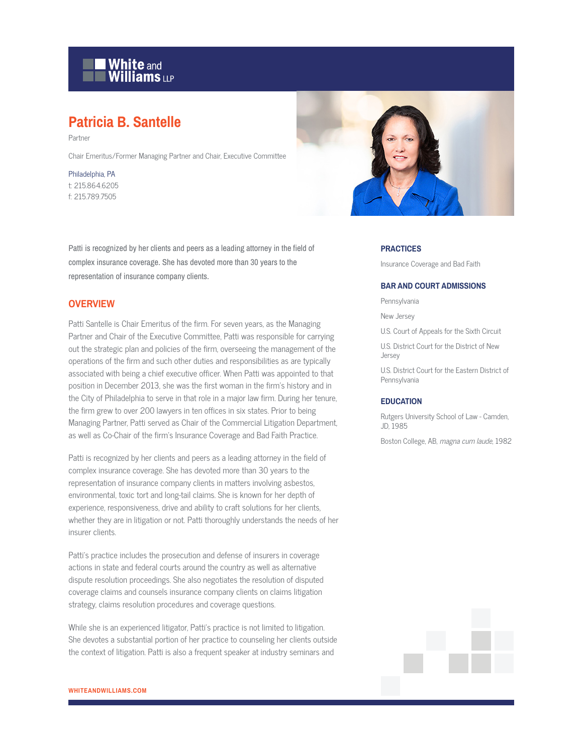

# **Patricia B. Santelle**

Partner

Chair Emeritus/Former Managing Partner and Chair, Executive Committee

Philadelphia, PA t: 215.864.6205 f: 215.789.7505

Patti is recognized by her clients and peers as a leading attorney in the field of complex insurance coverage. She has devoted more than 30 years to the representation of insurance company clients.

## **OVERVIEW**

Patti Santelle is Chair Emeritus of the firm. For seven years, as the Managing Partner and Chair of the Executive Committee, Patti was responsible for carrying out the strategic plan and policies of the firm, overseeing the management of the operations of the firm and such other duties and responsibilities as are typically associated with being a chief executive officer. When Patti was appointed to that position in December 2013, she was the first woman in the firm's history and in the City of Philadelphia to serve in that role in a major law firm. During her tenure, the firm grew to over 200 lawyers in ten offices in six states. Prior to being Managing Partner, Patti served as Chair of the Commercial Litigation Department, as well as Co-Chair of the firm's Insurance Coverage and Bad Faith Practice.

Patti is recognized by her clients and peers as a leading attorney in the field of complex insurance coverage. She has devoted more than 30 years to the representation of insurance company clients in matters involving asbestos, environmental, toxic tort and long-tail claims. She is known for her depth of experience, responsiveness, drive and ability to craft solutions for her clients, whether they are in litigation or not. Patti thoroughly understands the needs of her insurer clients.

Patti's practice includes the prosecution and defense of insurers in coverage actions in state and federal courts around the country as well as alternative dispute resolution proceedings. She also negotiates the resolution of disputed coverage claims and counsels insurance company clients on claims litigation strategy, claims resolution procedures and coverage questions.

While she is an experienced litigator, Patti's practice is not limited to litigation. She devotes a substantial portion of her practice to counseling her clients outside the context of litigation. Patti is also a frequent speaker at industry seminars and



#### **PRACTICES**

Insurance Coverage and Bad Faith

#### **BAR AND COURT ADMISSIONS**

Pennsylvania

New Jersey

U.S. Court of Appeals for the Sixth Circuit

U.S. District Court for the District of New Jersey

U.S. District Court for the Eastern District of Pennsylvania

#### **EDUCATION**

Rutgers University School of Law - Camden, JD, 1985

Boston College, AB, magna cum laude, 1982

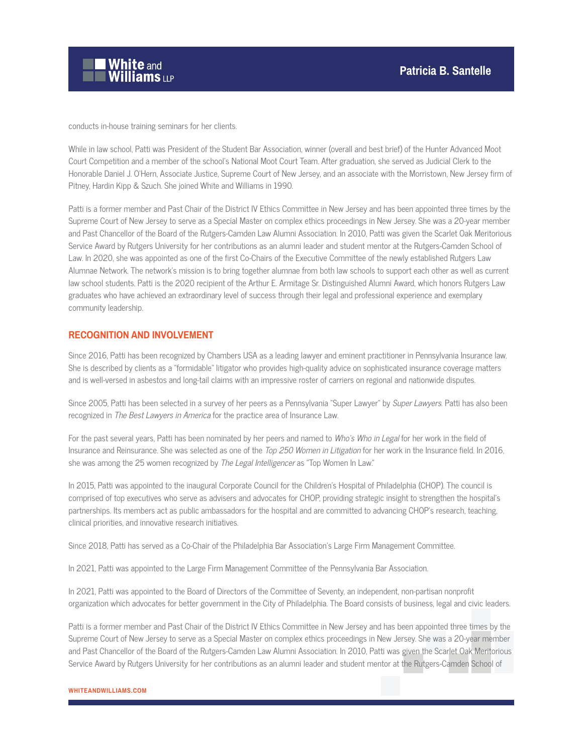

conducts in-house training seminars for her clients.

While in law school, Patti was President of the Student Bar Association, winner (overall and best brief) of the Hunter Advanced Moot Court Competition and a member of the school's National Moot Court Team. After graduation, she served as Judicial Clerk to the Honorable Daniel J. O'Hern, Associate Justice, Supreme Court of New Jersey, and an associate with the Morristown, New Jersey firm of Pitney, Hardin Kipp & Szuch. She joined White and Williams in 1990.

Patti is a former member and Past Chair of the District IV Ethics Committee in New Jersey and has been appointed three times by the Supreme Court of New Jersey to serve as a Special Master on complex ethics proceedings in New Jersey. She was a 20-year member and Past Chancellor of the Board of the Rutgers-Camden Law Alumni Association. In 2010, Patti was given the Scarlet Oak Meritorious Service Award by Rutgers University for her contributions as an alumni leader and student mentor at the Rutgers-Camden School of Law. In 2020, she was appointed as one of the first Co-Chairs of the Executive Committee of the newly established Rutgers Law Alumnae Network. The network's mission is to bring together alumnae from both law schools to support each other as well as current law school students. Patti is the 2020 recipient of the Arthur E. Armitage Sr. Distinguished Alumni Award, which honors Rutgers Law graduates who have achieved an extraordinary level of success through their legal and professional experience and exemplary community leadership.

#### **RECOGNITION AND INVOLVEMENT**

Since 2016, Patti has been recognized by Chambers USA as a leading lawyer and eminent practitioner in Pennsylvania Insurance law. She is described by clients as a "formidable" litigator who provides high-quality advice on sophisticated insurance coverage matters and is well-versed in asbestos and long-tail claims with an impressive roster of carriers on regional and nationwide disputes.

Since 2005, Patti has been selected in a survey of her peers as a Pennsylvania "Super Lawyer" by Super Lawyers. Patti has also been recognized in The Best Lawyers in America for the practice area of Insurance Law.

For the past several years, Patti has been nominated by her peers and named to Who's Who in Legal for her work in the field of Insurance and Reinsurance. She was selected as one of the Top 250 Women in Litigation for her work in the Insurance field. In 2016, she was among the 25 women recognized by The Legal Intelligencer as "Top Women In Law."

In 2015, Patti was appointed to the inaugural Corporate Council for the Children's Hospital of Philadelphia (CHOP). The council is comprised of top executives who serve as advisers and advocates for CHOP, providing strategic insight to strengthen the hospital's partnerships. Its members act as public ambassadors for the hospital and are committed to advancing CHOP's research, teaching, clinical priorities, and innovative research initiatives.

Since 2018, Patti has served as a Co-Chair of the Philadelphia Bar Association's Large Firm Management Committee.

In 2021, Patti was appointed to the Large Firm Management Committee of the Pennsylvania Bar Association.

In 2021, Patti was appointed to the Board of Directors of the Committee of Seventy, an independent, non-partisan nonprofit organization which advocates for better government in the City of Philadelphia. The Board consists of business, legal and civic leaders.

Patti is a former member and Past Chair of the District IV Ethics Committee in New Jersey and has been appointed three times by the Supreme Court of New Jersey to serve as a Special Master on complex ethics proceedings in New Jersey. She was a 20-year member and Past Chancellor of the Board of the Rutgers-Camden Law Alumni Association. In 2010, Patti was given the Scarlet Oak Meritorious Service Award by Rutgers University for her contributions as an alumni leader and student mentor at the Rutgers-Camden School of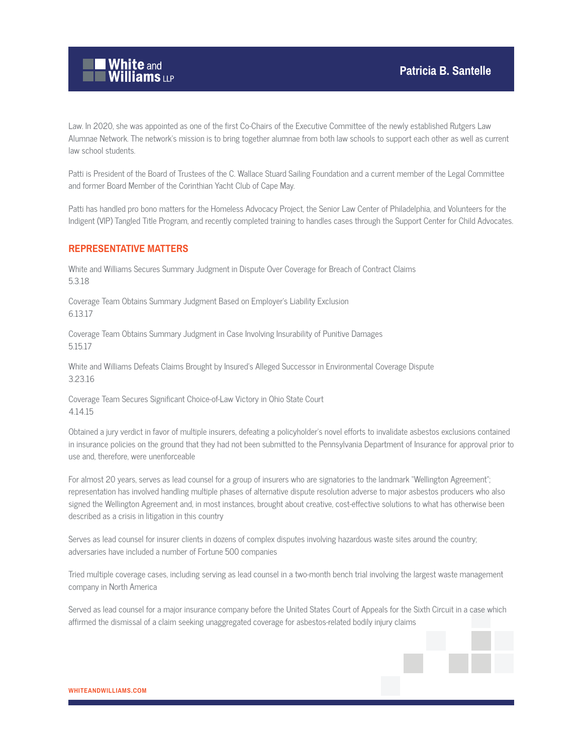

Law. In 2020, she was appointed as one of the first Co-Chairs of the Executive Committee of the newly established Rutgers Law Alumnae Network. The network's mission is to bring together alumnae from both law schools to support each other as well as current law school students.

Patti is President of the Board of Trustees of the C. Wallace Stuard Sailing Foundation and a current member of the Legal Committee and former Board Member of the Corinthian Yacht Club of Cape May.

Patti has handled pro bono matters for the Homeless Advocacy Project, the Senior Law Center of Philadelphia, and Volunteers for the Indigent (VIP) Tangled Title Program, and recently completed training to handles cases through the Support Center for Child Advocates.

#### **REPRESENTATIVE MATTERS**

White and Williams Secures Summary Judgment in Dispute Over Coverage for Breach of Contract Claims 5.3.18

Coverage Team Obtains Summary Judgment Based on Employer's Liability Exclusion 6.13.17

Coverage Team Obtains Summary Judgment in Case Involving Insurability of Punitive Damages 5.15.17

White and Williams Defeats Claims Brought by Insured's Alleged Successor in Environmental Coverage Dispute 3.23.16

Coverage Team Secures Significant Choice-of-Law Victory in Ohio State Court 4.14.15

Obtained a jury verdict in favor of multiple insurers, defeating a policyholder's novel efforts to invalidate asbestos exclusions contained in insurance policies on the ground that they had not been submitted to the Pennsylvania Department of Insurance for approval prior to use and, therefore, were unenforceable

For almost 20 years, serves as lead counsel for a group of insurers who are signatories to the landmark "Wellington Agreement"; representation has involved handling multiple phases of alternative dispute resolution adverse to major asbestos producers who also signed the Wellington Agreement and, in most instances, brought about creative, cost-effective solutions to what has otherwise been described as a crisis in litigation in this country

Serves as lead counsel for insurer clients in dozens of complex disputes involving hazardous waste sites around the country; adversaries have included a number of Fortune 500 companies

Tried multiple coverage cases, including serving as lead counsel in a two-month bench trial involving the largest waste management company in North America

Served as lead counsel for a major insurance company before the United States Court of Appeals for the Sixth Circuit in a case which affirmed the dismissal of a claim seeking unaggregated coverage for asbestos-related bodily injury claims



**WHITEANDWILLIAMS.COM**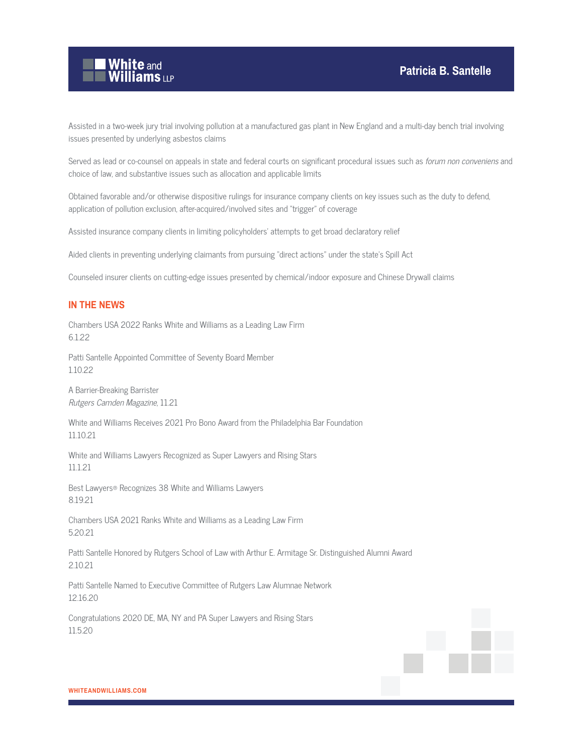

Assisted in a two-week jury trial involving pollution at a manufactured gas plant in New England and a multi-day bench trial involving issues presented by underlying asbestos claims

Served as lead or co-counsel on appeals in state and federal courts on significant procedural issues such as forum non conveniens and choice of law, and substantive issues such as allocation and applicable limits

Obtained favorable and/or otherwise dispositive rulings for insurance company clients on key issues such as the duty to defend, application of pollution exclusion, after-acquired/involved sites and "trigger" of coverage

Assisted insurance company clients in limiting policyholders' attempts to get broad declaratory relief

Aided clients in preventing underlying claimants from pursuing "direct actions" under the state's Spill Act

Counseled insurer clients on cutting-edge issues presented by chemical/indoor exposure and Chinese Drywall claims

## **IN THE NEWS**

Chambers USA 2022 Ranks White and Williams as a Leading Law Firm 6.1.22

Patti Santelle Appointed Committee of Seventy Board Member 1.10.22

A Barrier-Breaking Barrister Rutgers Camden Magazine, 11.21

White and Williams Receives 2021 Pro Bono Award from the Philadelphia Bar Foundation 11.10.21

White and Williams Lawyers Recognized as Super Lawyers and Rising Stars 11.1.21

Best Lawyers® Recognizes 38 White and Williams Lawyers 8.19.21

Chambers USA 2021 Ranks White and Williams as a Leading Law Firm 5.20.21

Patti Santelle Honored by Rutgers School of Law with Arthur E. Armitage Sr. Distinguished Alumni Award 2.10.21

Patti Santelle Named to Executive Committee of Rutgers Law Alumnae Network 12.16.20

Congratulations 2020 DE, MA, NY and PA Super Lawyers and Rising Stars 11.5.20

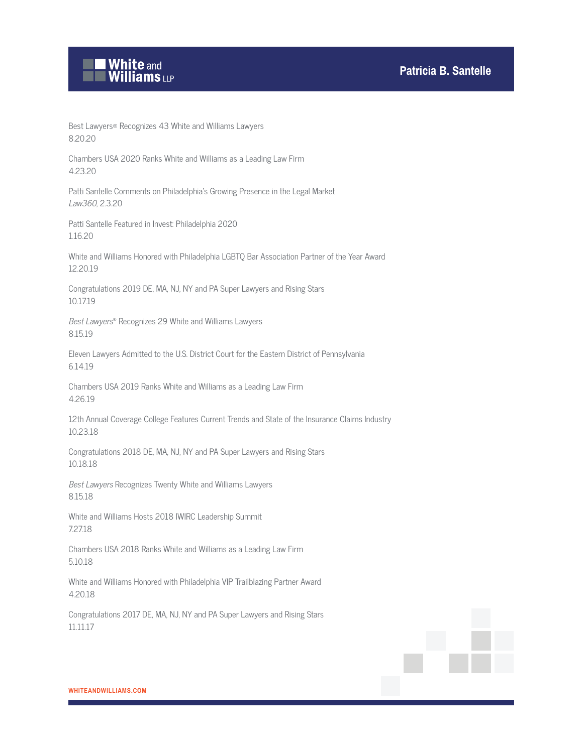

Best Lawyers® Recognizes 43 White and Williams Lawyers 8.20.20

Chambers USA 2020 Ranks White and Williams as a Leading Law Firm 4.23.20

Patti Santelle Comments on Philadelphia's Growing Presence in the Legal Market Law360, 2.3.20

Patti Santelle Featured in Invest: Philadelphia 2020 1.16.20

White and Williams Honored with Philadelphia LGBTQ Bar Association Partner of the Year Award 12.20.19

Congratulations 2019 DE, MA, NJ, NY and PA Super Lawyers and Rising Stars 10.17.19

Best Lawyers® Recognizes 29 White and Williams Lawyers 8.15.19

Eleven Lawyers Admitted to the U.S. District Court for the Eastern District of Pennsylvania 6.14.19

Chambers USA 2019 Ranks White and Williams as a Leading Law Firm 4.26.19

12th Annual Coverage College Features Current Trends and State of the Insurance Claims Industry 10.23.18

Congratulations 2018 DE, MA, NJ, NY and PA Super Lawyers and Rising Stars 10.18.18

Best Lawyers Recognizes Twenty White and Williams Lawyers 8.15.18

White and Williams Hosts 2018 IWIRC Leadership Summit 7.27.18

Chambers USA 2018 Ranks White and Williams as a Leading Law Firm 5.10.18

White and Williams Honored with Philadelphia VIP Trailblazing Partner Award 4.20.18

Congratulations 2017 DE, MA, NJ, NY and PA Super Lawyers and Rising Stars 11.11.17

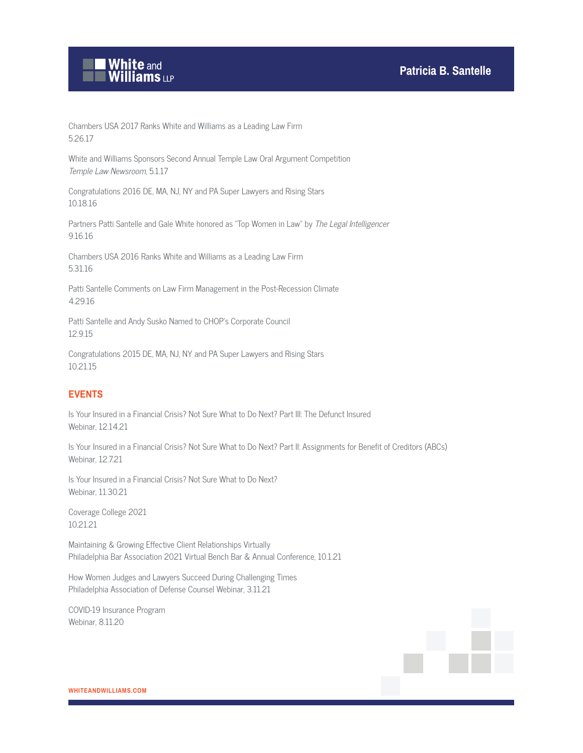

Chambers USA 2017 Ranks White and Williams as a Leading Law Firm 5.26.17

White and Williams Sponsors Second Annual Temple Law Oral Argument Competition Temple Law Newsroom, 5.1.17

Congratulations 2016 DE, MA, NJ, NY and PA Super Lawyers and Rising Stars 10.18.16

Partners Patti Santelle and Gale White honored as "Top Women in Law" by The Legal Intelligencer 9.16.16

Chambers USA 2016 Ranks White and Williams as a Leading Law Firm 5.31.16

Patti Santelle Comments on Law Firm Management in the Post-Recession Climate 4.29.16

Patti Santelle and Andy Susko Named to CHOP's Corporate Council 12.9.15

Congratulations 2015 DE, MA, NJ, NY and PA Super Lawyers and Rising Stars 10.21.15

## **EVENTS**

Is Your Insured in a Financial Crisis? Not Sure What to Do Next? Part III: The Defunct Insured Webinar, 12.14.21

Is Your Insured in a Financial Crisis? Not Sure What to Do Next? Part II: Assignments for Benefit of Creditors (ABCs) Webinar, 12.7.21

Is Your Insured in a Financial Crisis? Not Sure What to Do Next? Webinar, 11.30.21

Coverage College 2021 10.21.21

Maintaining & Growing Effective Client Relationships Virtually Philadelphia Bar Association 2021 Virtual Bench Bar & Annual Conference, 10.1.21

How Women Judges and Lawyers Succeed During Challenging Times Philadelphia Association of Defense Counsel Webinar, 3.11.21

COVID-19 Insurance Program Webinar, 8.11.20

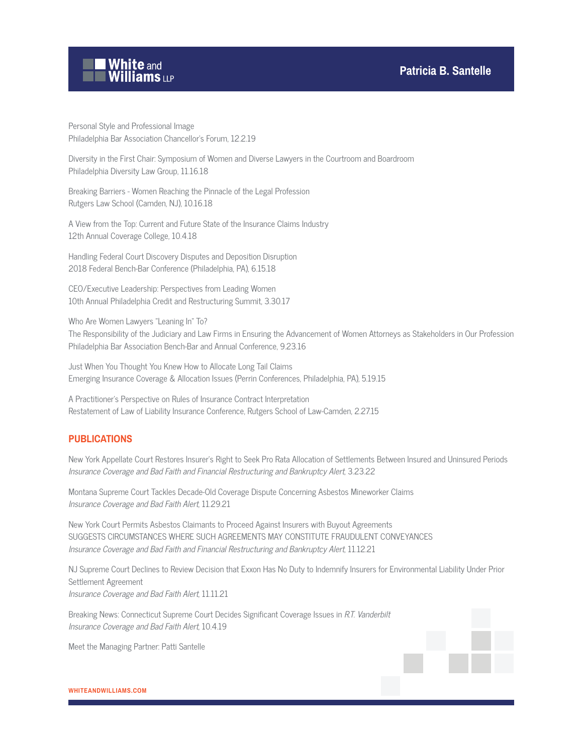# **Patricia B. Santelle**



Personal Style and Professional Image Philadelphia Bar Association Chancellor's Forum, 12.2.19

Diversity in the First Chair: Symposium of Women and Diverse Lawyers in the Courtroom and Boardroom Philadelphia Diversity Law Group, 11.16.18

Breaking Barriers - Women Reaching the Pinnacle of the Legal Profession Rutgers Law School (Camden, NJ), 10.16.18

A View from the Top: Current and Future State of the Insurance Claims Industry 12th Annual Coverage College, 10.4.18

Handling Federal Court Discovery Disputes and Deposition Disruption 2018 Federal Bench-Bar Conference (Philadelphia, PA), 6.15.18

CEO/Executive Leadership: Perspectives from Leading Women 10th Annual Philadelphia Credit and Restructuring Summit, 3.30.17

Who Are Women Lawyers "Leaning In" To?

The Responsibility of the Judiciary and Law Firms in Ensuring the Advancement of Women Attorneys as Stakeholders in Our Profession Philadelphia Bar Association Bench-Bar and Annual Conference, 9.23.16

Just When You Thought You Knew How to Allocate Long Tail Claims Emerging Insurance Coverage & Allocation Issues (Perrin Conferences, Philadelphia, PA), 5.19.15

A Practitioner's Perspective on Rules of Insurance Contract Interpretation Restatement of Law of Liability Insurance Conference, Rutgers School of Law-Camden, 2.27.15

## **PUBLICATIONS**

New York Appellate Court Restores Insurer's Right to Seek Pro Rata Allocation of Settlements Between Insured and Uninsured Periods Insurance Coverage and Bad Faith and Financial Restructuring and Bankruptcy Alert, 3.23.22

Montana Supreme Court Tackles Decade-Old Coverage Dispute Concerning Asbestos Mineworker Claims Insurance Coverage and Bad Faith Alert, 11.29.21

New York Court Permits Asbestos Claimants to Proceed Against Insurers with Buyout Agreements SUGGESTS CIRCUMSTANCES WHERE SUCH AGREEMENTS MAY CONSTITUTE FRAUDULENT CONVEYANCES Insurance Coverage and Bad Faith and Financial Restructuring and Bankruptcy Alert, 11.12.21

NJ Supreme Court Declines to Review Decision that Exxon Has No Duty to Indemnify Insurers for Environmental Liability Under Prior Settlement Agreement Insurance Coverage and Bad Faith Alert, 11.11.21

Breaking News: Connecticut Supreme Court Decides Significant Coverage Issues in R.T. Vanderbilt Insurance Coverage and Bad Faith Alert, 10.4.19

Meet the Managing Partner: Patti Santelle